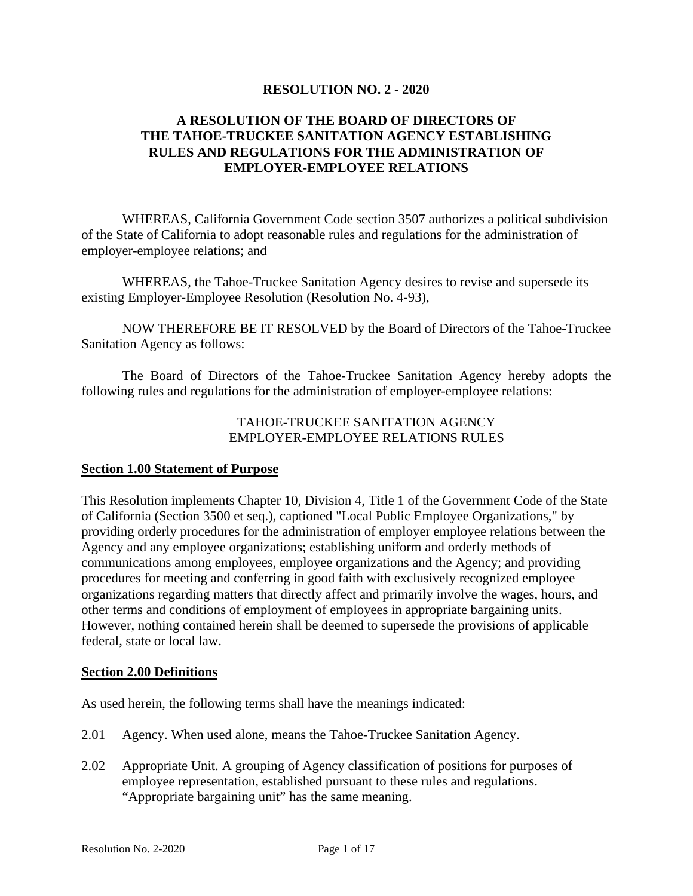#### **RESOLUTION NO. 2 - 2020**

# **A RESOLUTION OF THE BOARD OF DIRECTORS OF THE TAHOE-TRUCKEE SANITATION AGENCY ESTABLISHING RULES AND REGULATIONS FOR THE ADMINISTRATION OF EMPLOYER-EMPLOYEE RELATIONS**

WHEREAS, California Government Code section 3507 authorizes a political subdivision of the State of California to adopt reasonable rules and regulations for the administration of employer-employee relations; and

WHEREAS, the Tahoe-Truckee Sanitation Agency desires to revise and supersede its existing Employer-Employee Resolution (Resolution No. 4-93),

NOW THEREFORE BE IT RESOLVED by the Board of Directors of the Tahoe-Truckee Sanitation Agency as follows:

The Board of Directors of the Tahoe-Truckee Sanitation Agency hereby adopts the following rules and regulations for the administration of employer-employee relations:

#### TAHOE-TRUCKEE SANITATION AGENCY EMPLOYER-EMPLOYEE RELATIONS RULES

#### **Section 1.00 Statement of Purpose**

This Resolution implements Chapter 10, Division 4, Title 1 of the Government Code of the State of California (Section 3500 et seq.), captioned "Local Public Employee Organizations," by providing orderly procedures for the administration of employer employee relations between the Agency and any employee organizations; establishing uniform and orderly methods of communications among employees, employee organizations and the Agency; and providing procedures for meeting and conferring in good faith with exclusively recognized employee organizations regarding matters that directly affect and primarily involve the wages, hours, and other terms and conditions of employment of employees in appropriate bargaining units. However, nothing contained herein shall be deemed to supersede the provisions of applicable federal, state or local law.

#### **Section 2.00 Definitions**

As used herein, the following terms shall have the meanings indicated:

- 2.01 Agency. When used alone, means the Tahoe-Truckee Sanitation Agency.
- 2.02 Appropriate Unit. A grouping of Agency classification of positions for purposes of employee representation, established pursuant to these rules and regulations. "Appropriate bargaining unit" has the same meaning.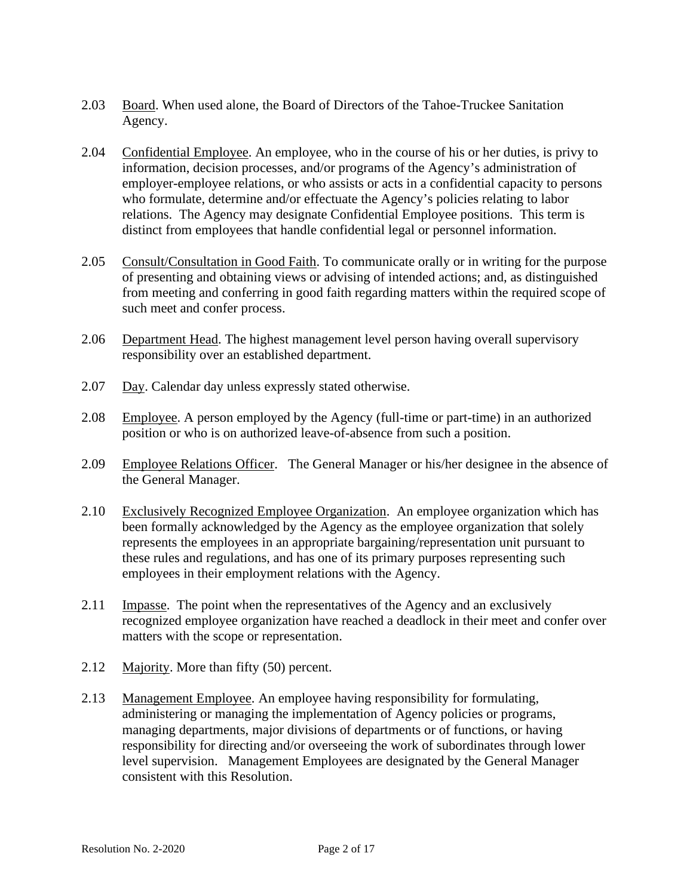- 2.03 Board. When used alone, the Board of Directors of the Tahoe-Truckee Sanitation Agency.
- 2.04 Confidential Employee. An employee, who in the course of his or her duties, is privy to information, decision processes, and/or programs of the Agency's administration of employer-employee relations, or who assists or acts in a confidential capacity to persons who formulate, determine and/or effectuate the Agency's policies relating to labor relations. The Agency may designate Confidential Employee positions. This term is distinct from employees that handle confidential legal or personnel information.
- 2.05 Consult/Consultation in Good Faith. To communicate orally or in writing for the purpose of presenting and obtaining views or advising of intended actions; and, as distinguished from meeting and conferring in good faith regarding matters within the required scope of such meet and confer process.
- 2.06 Department Head. The highest management level person having overall supervisory responsibility over an established department.
- 2.07 Day. Calendar day unless expressly stated otherwise.
- 2.08 Employee. A person employed by the Agency (full-time or part-time) in an authorized position or who is on authorized leave-of-absence from such a position.
- 2.09 Employee Relations Officer. The General Manager or his/her designee in the absence of the General Manager.
- 2.10 Exclusively Recognized Employee Organization. An employee organization which has been formally acknowledged by the Agency as the employee organization that solely represents the employees in an appropriate bargaining/representation unit pursuant to these rules and regulations, and has one of its primary purposes representing such employees in their employment relations with the Agency.
- 2.11 Impasse. The point when the representatives of the Agency and an exclusively recognized employee organization have reached a deadlock in their meet and confer over matters with the scope or representation.
- 2.12 Majority. More than fifty (50) percent.
- 2.13 Management Employee. An employee having responsibility for formulating, administering or managing the implementation of Agency policies or programs, managing departments, major divisions of departments or of functions, or having responsibility for directing and/or overseeing the work of subordinates through lower level supervision. Management Employees are designated by the General Manager consistent with this Resolution.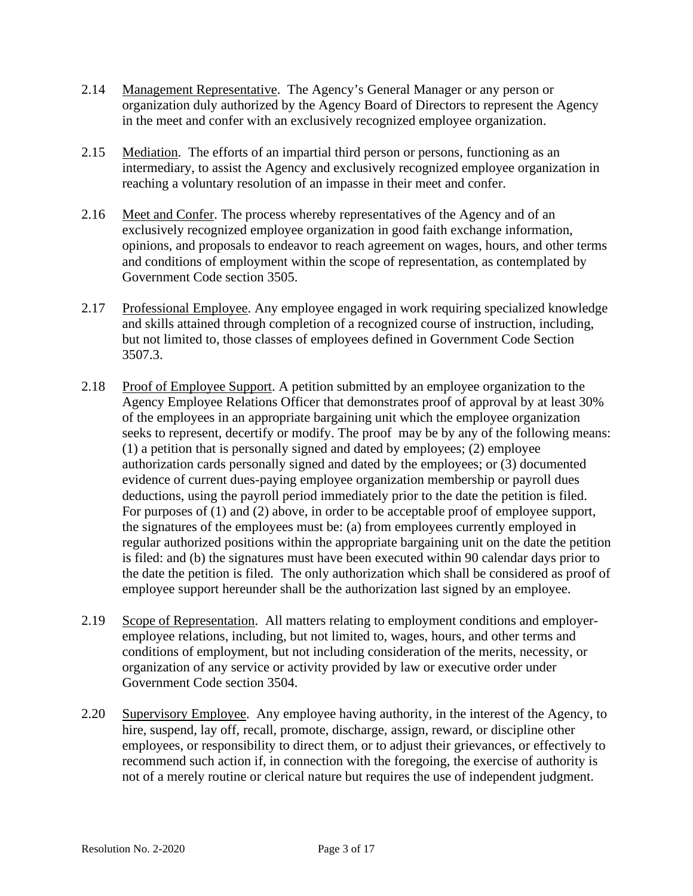- 2.14 Management Representative. The Agency's General Manager or any person or organization duly authorized by the Agency Board of Directors to represent the Agency in the meet and confer with an exclusively recognized employee organization.
- 2.15 Mediation. The efforts of an impartial third person or persons, functioning as an intermediary, to assist the Agency and exclusively recognized employee organization in reaching a voluntary resolution of an impasse in their meet and confer.
- 2.16 Meet and Confer. The process whereby representatives of the Agency and of an exclusively recognized employee organization in good faith exchange information, opinions, and proposals to endeavor to reach agreement on wages, hours, and other terms and conditions of employment within the scope of representation, as contemplated by Government Code section 3505.
- 2.17 Professional Employee. Any employee engaged in work requiring specialized knowledge and skills attained through completion of a recognized course of instruction, including, but not limited to, those classes of employees defined in Government Code Section 3507.3.
- 2.18 Proof of Employee Support. A petition submitted by an employee organization to the Agency Employee Relations Officer that demonstrates proof of approval by at least 30% of the employees in an appropriate bargaining unit which the employee organization seeks to represent, decertify or modify. The proof may be by any of the following means: (1) a petition that is personally signed and dated by employees; (2) employee authorization cards personally signed and dated by the employees; or (3) documented evidence of current dues-paying employee organization membership or payroll dues deductions, using the payroll period immediately prior to the date the petition is filed. For purposes of (1) and (2) above, in order to be acceptable proof of employee support, the signatures of the employees must be: (a) from employees currently employed in regular authorized positions within the appropriate bargaining unit on the date the petition is filed: and (b) the signatures must have been executed within 90 calendar days prior to the date the petition is filed. The only authorization which shall be considered as proof of employee support hereunder shall be the authorization last signed by an employee.
- 2.19 Scope of Representation. All matters relating to employment conditions and employeremployee relations, including, but not limited to, wages, hours, and other terms and conditions of employment, but not including consideration of the merits, necessity, or organization of any service or activity provided by law or executive order under Government Code section 3504.
- 2.20 Supervisory Employee. Any employee having authority, in the interest of the Agency, to hire, suspend, lay off, recall, promote, discharge, assign, reward, or discipline other employees, or responsibility to direct them, or to adjust their grievances, or effectively to recommend such action if, in connection with the foregoing, the exercise of authority is not of a merely routine or clerical nature but requires the use of independent judgment.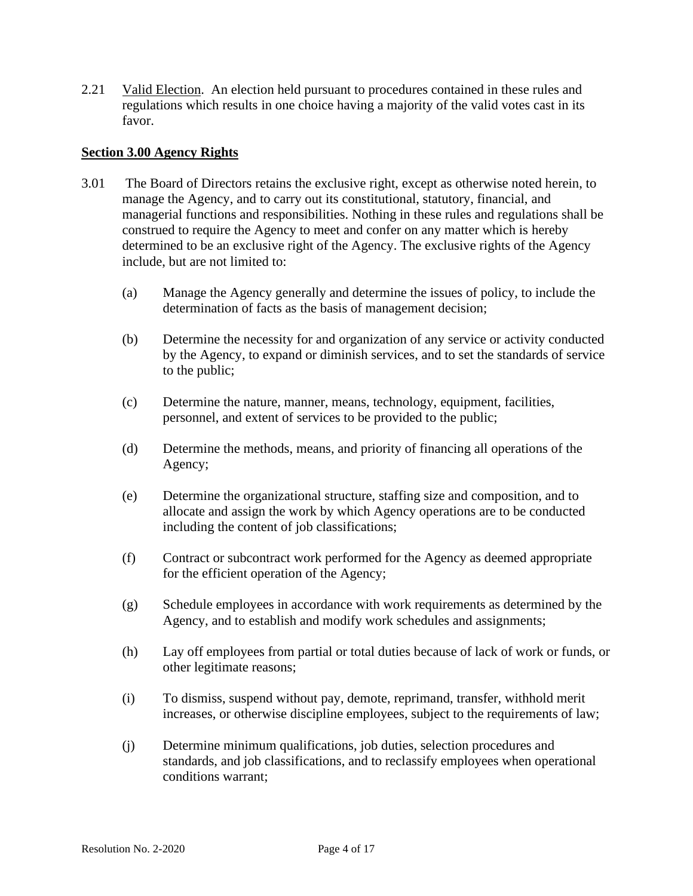2.21 Valid Election. An election held pursuant to procedures contained in these rules and regulations which results in one choice having a majority of the valid votes cast in its favor.

#### **Section 3.00 Agency Rights**

- 3.01 The Board of Directors retains the exclusive right, except as otherwise noted herein, to manage the Agency, and to carry out its constitutional, statutory, financial, and managerial functions and responsibilities. Nothing in these rules and regulations shall be construed to require the Agency to meet and confer on any matter which is hereby determined to be an exclusive right of the Agency. The exclusive rights of the Agency include, but are not limited to:
	- (a) Manage the Agency generally and determine the issues of policy, to include the determination of facts as the basis of management decision;
	- (b) Determine the necessity for and organization of any service or activity conducted by the Agency, to expand or diminish services, and to set the standards of service to the public;
	- (c) Determine the nature, manner, means, technology, equipment, facilities, personnel, and extent of services to be provided to the public;
	- (d) Determine the methods, means, and priority of financing all operations of the Agency;
	- (e) Determine the organizational structure, staffing size and composition, and to allocate and assign the work by which Agency operations are to be conducted including the content of job classifications;
	- (f) Contract or subcontract work performed for the Agency as deemed appropriate for the efficient operation of the Agency;
	- (g) Schedule employees in accordance with work requirements as determined by the Agency, and to establish and modify work schedules and assignments;
	- (h) Lay off employees from partial or total duties because of lack of work or funds, or other legitimate reasons;
	- (i) To dismiss, suspend without pay, demote, reprimand, transfer, withhold merit increases, or otherwise discipline employees, subject to the requirements of law;
	- (j) Determine minimum qualifications, job duties, selection procedures and standards, and job classifications, and to reclassify employees when operational conditions warrant;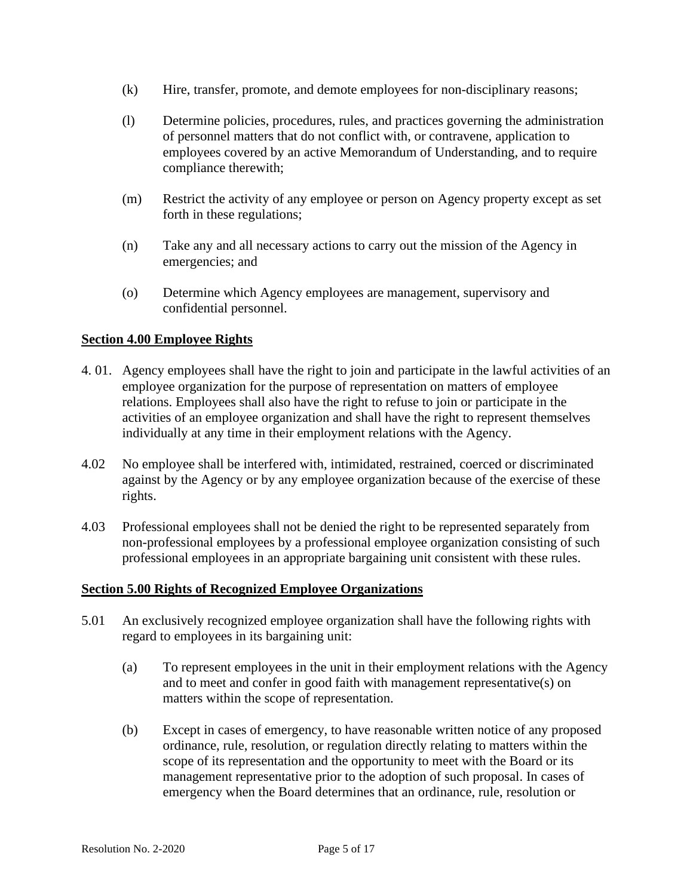- (k) Hire, transfer, promote, and demote employees for non-disciplinary reasons;
- (l) Determine policies, procedures, rules, and practices governing the administration of personnel matters that do not conflict with, or contravene, application to employees covered by an active Memorandum of Understanding, and to require compliance therewith;
- (m) Restrict the activity of any employee or person on Agency property except as set forth in these regulations;
- (n) Take any and all necessary actions to carry out the mission of the Agency in emergencies; and
- (o) Determine which Agency employees are management, supervisory and confidential personnel.

## **Section 4.00 Employee Rights**

- 4. 01. Agency employees shall have the right to join and participate in the lawful activities of an employee organization for the purpose of representation on matters of employee relations. Employees shall also have the right to refuse to join or participate in the activities of an employee organization and shall have the right to represent themselves individually at any time in their employment relations with the Agency.
- 4.02 No employee shall be interfered with, intimidated, restrained, coerced or discriminated against by the Agency or by any employee organization because of the exercise of these rights.
- 4.03 Professional employees shall not be denied the right to be represented separately from non-professional employees by a professional employee organization consisting of such professional employees in an appropriate bargaining unit consistent with these rules.

#### **Section 5.00 Rights of Recognized Employee Organizations**

- 5.01 An exclusively recognized employee organization shall have the following rights with regard to employees in its bargaining unit:
	- (a) To represent employees in the unit in their employment relations with the Agency and to meet and confer in good faith with management representative(s) on matters within the scope of representation.
	- (b) Except in cases of emergency, to have reasonable written notice of any proposed ordinance, rule, resolution, or regulation directly relating to matters within the scope of its representation and the opportunity to meet with the Board or its management representative prior to the adoption of such proposal. In cases of emergency when the Board determines that an ordinance, rule, resolution or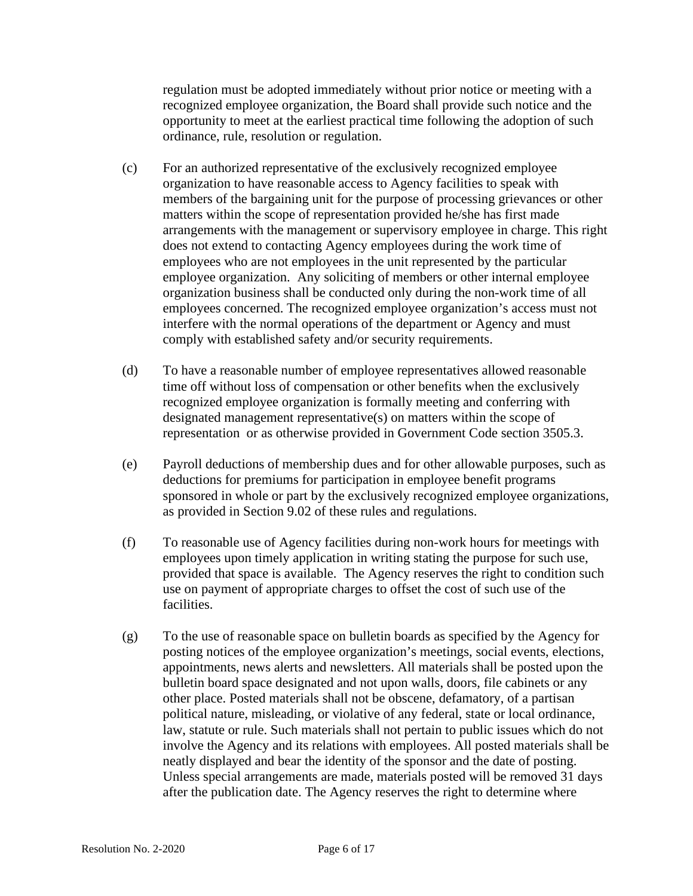regulation must be adopted immediately without prior notice or meeting with a recognized employee organization, the Board shall provide such notice and the opportunity to meet at the earliest practical time following the adoption of such ordinance, rule, resolution or regulation.

- (c) For an authorized representative of the exclusively recognized employee organization to have reasonable access to Agency facilities to speak with members of the bargaining unit for the purpose of processing grievances or other matters within the scope of representation provided he/she has first made arrangements with the management or supervisory employee in charge. This right does not extend to contacting Agency employees during the work time of employees who are not employees in the unit represented by the particular employee organization. Any soliciting of members or other internal employee organization business shall be conducted only during the non-work time of all employees concerned. The recognized employee organization's access must not interfere with the normal operations of the department or Agency and must comply with established safety and/or security requirements.
- (d) To have a reasonable number of employee representatives allowed reasonable time off without loss of compensation or other benefits when the exclusively recognized employee organization is formally meeting and conferring with designated management representative(s) on matters within the scope of representation or as otherwise provided in Government Code section 3505.3.
- (e) Payroll deductions of membership dues and for other allowable purposes, such as deductions for premiums for participation in employee benefit programs sponsored in whole or part by the exclusively recognized employee organizations, as provided in Section 9.02 of these rules and regulations.
- (f) To reasonable use of Agency facilities during non-work hours for meetings with employees upon timely application in writing stating the purpose for such use, provided that space is available. The Agency reserves the right to condition such use on payment of appropriate charges to offset the cost of such use of the facilities.
- (g) To the use of reasonable space on bulletin boards as specified by the Agency for posting notices of the employee organization's meetings, social events, elections, appointments, news alerts and newsletters. All materials shall be posted upon the bulletin board space designated and not upon walls, doors, file cabinets or any other place. Posted materials shall not be obscene, defamatory, of a partisan political nature, misleading, or violative of any federal, state or local ordinance, law, statute or rule. Such materials shall not pertain to public issues which do not involve the Agency and its relations with employees. All posted materials shall be neatly displayed and bear the identity of the sponsor and the date of posting. Unless special arrangements are made, materials posted will be removed 31 days after the publication date. The Agency reserves the right to determine where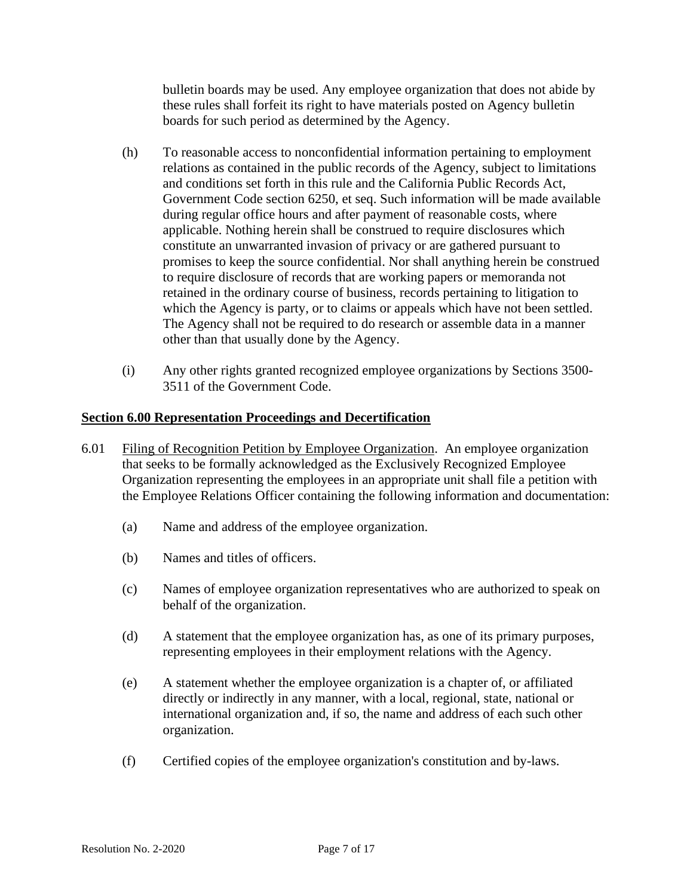bulletin boards may be used. Any employee organization that does not abide by these rules shall forfeit its right to have materials posted on Agency bulletin boards for such period as determined by the Agency.

- (h) To reasonable access to nonconfidential information pertaining to employment relations as contained in the public records of the Agency, subject to limitations and conditions set forth in this rule and the California Public Records Act, Government Code section 6250, et seq. Such information will be made available during regular office hours and after payment of reasonable costs, where applicable. Nothing herein shall be construed to require disclosures which constitute an unwarranted invasion of privacy or are gathered pursuant to promises to keep the source confidential. Nor shall anything herein be construed to require disclosure of records that are working papers or memoranda not retained in the ordinary course of business, records pertaining to litigation to which the Agency is party, or to claims or appeals which have not been settled. The Agency shall not be required to do research or assemble data in a manner other than that usually done by the Agency.
- (i) Any other rights granted recognized employee organizations by Sections 3500- 3511 of the Government Code.

## **Section 6.00 Representation Proceedings and Decertification**

- 6.01 Filing of Recognition Petition by Employee Organization. An employee organization that seeks to be formally acknowledged as the Exclusively Recognized Employee Organization representing the employees in an appropriate unit shall file a petition with the Employee Relations Officer containing the following information and documentation:
	- (a) Name and address of the employee organization.
	- (b) Names and titles of officers.
	- (c) Names of employee organization representatives who are authorized to speak on behalf of the organization.
	- (d) A statement that the employee organization has, as one of its primary purposes, representing employees in their employment relations with the Agency.
	- (e) A statement whether the employee organization is a chapter of, or affiliated directly or indirectly in any manner, with a local, regional, state, national or international organization and, if so, the name and address of each such other organization.
	- (f) Certified copies of the employee organization's constitution and by-laws.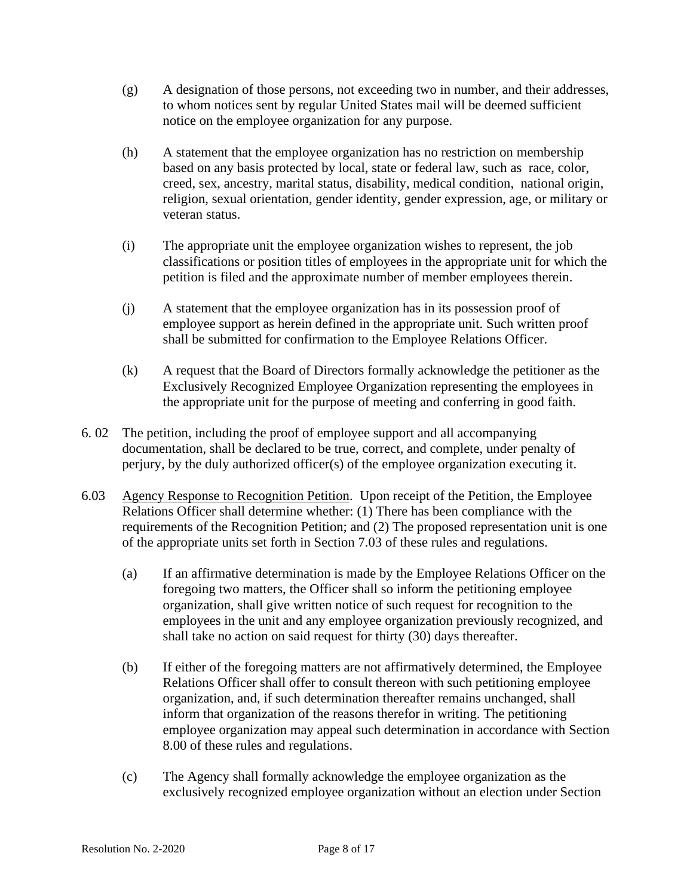- (g) A designation of those persons, not exceeding two in number, and their addresses, to whom notices sent by regular United States mail will be deemed sufficient notice on the employee organization for any purpose.
- (h) A statement that the employee organization has no restriction on membership based on any basis protected by local, state or federal law, such as race, color, creed, sex, ancestry, marital status, disability, medical condition, national origin, religion, sexual orientation, gender identity, gender expression, age, or military or veteran status.
- (i) The appropriate unit the employee organization wishes to represent, the job classifications or position titles of employees in the appropriate unit for which the petition is filed and the approximate number of member employees therein.
- (j) A statement that the employee organization has in its possession proof of employee support as herein defined in the appropriate unit. Such written proof shall be submitted for confirmation to the Employee Relations Officer.
- (k) A request that the Board of Directors formally acknowledge the petitioner as the Exclusively Recognized Employee Organization representing the employees in the appropriate unit for the purpose of meeting and conferring in good faith.
- 6. 02 The petition, including the proof of employee support and all accompanying documentation, shall be declared to be true, correct, and complete, under penalty of perjury, by the duly authorized officer(s) of the employee organization executing it.
- 6.03 Agency Response to Recognition Petition. Upon receipt of the Petition, the Employee Relations Officer shall determine whether: (1) There has been compliance with the requirements of the Recognition Petition; and (2) The proposed representation unit is one of the appropriate units set forth in Section 7.03 of these rules and regulations.
	- (a) If an affirmative determination is made by the Employee Relations Officer on the foregoing two matters, the Officer shall so inform the petitioning employee organization, shall give written notice of such request for recognition to the employees in the unit and any employee organization previously recognized, and shall take no action on said request for thirty (30) days thereafter.
	- (b) If either of the foregoing matters are not affirmatively determined, the Employee Relations Officer shall offer to consult thereon with such petitioning employee organization, and, if such determination thereafter remains unchanged, shall inform that organization of the reasons therefor in writing. The petitioning employee organization may appeal such determination in accordance with Section 8.00 of these rules and regulations.
	- (c) The Agency shall formally acknowledge the employee organization as the exclusively recognized employee organization without an election under Section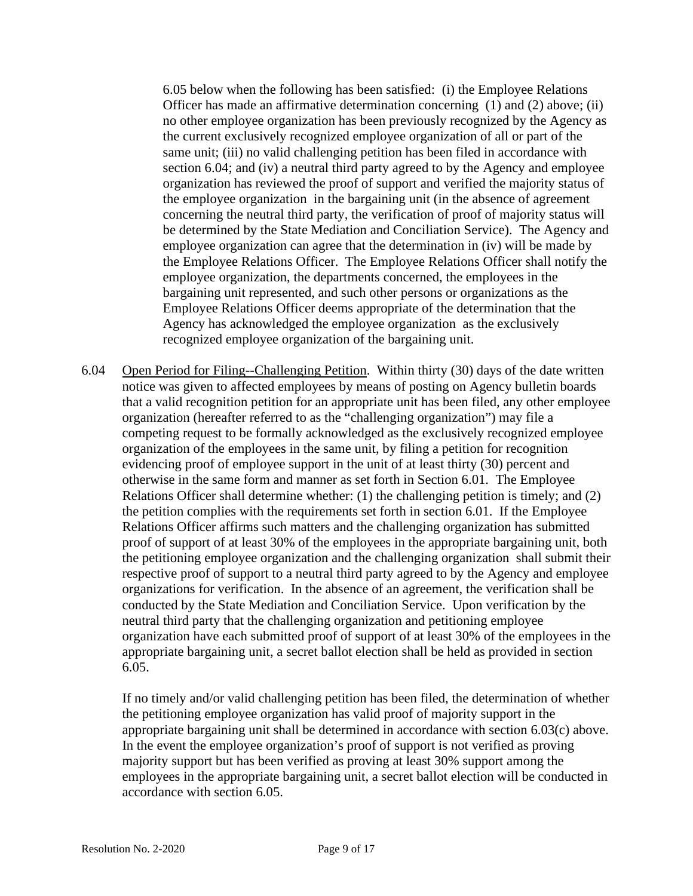6.05 below when the following has been satisfied: (i) the Employee Relations Officer has made an affirmative determination concerning (1) and (2) above; (ii) no other employee organization has been previously recognized by the Agency as the current exclusively recognized employee organization of all or part of the same unit; (iii) no valid challenging petition has been filed in accordance with section 6.04; and (iv) a neutral third party agreed to by the Agency and employee organization has reviewed the proof of support and verified the majority status of the employee organization in the bargaining unit (in the absence of agreement concerning the neutral third party, the verification of proof of majority status will be determined by the State Mediation and Conciliation Service). The Agency and employee organization can agree that the determination in (iv) will be made by the Employee Relations Officer. The Employee Relations Officer shall notify the employee organization, the departments concerned, the employees in the bargaining unit represented, and such other persons or organizations as the Employee Relations Officer deems appropriate of the determination that the Agency has acknowledged the employee organization as the exclusively recognized employee organization of the bargaining unit.

6.04 Open Period for Filing--Challenging Petition. Within thirty (30) days of the date written notice was given to affected employees by means of posting on Agency bulletin boards that a valid recognition petition for an appropriate unit has been filed, any other employee organization (hereafter referred to as the "challenging organization") may file a competing request to be formally acknowledged as the exclusively recognized employee organization of the employees in the same unit, by filing a petition for recognition evidencing proof of employee support in the unit of at least thirty (30) percent and otherwise in the same form and manner as set forth in Section 6.01. The Employee Relations Officer shall determine whether: (1) the challenging petition is timely; and (2) the petition complies with the requirements set forth in section 6.01. If the Employee Relations Officer affirms such matters and the challenging organization has submitted proof of support of at least 30% of the employees in the appropriate bargaining unit, both the petitioning employee organization and the challenging organization shall submit their respective proof of support to a neutral third party agreed to by the Agency and employee organizations for verification. In the absence of an agreement, the verification shall be conducted by the State Mediation and Conciliation Service. Upon verification by the neutral third party that the challenging organization and petitioning employee organization have each submitted proof of support of at least 30% of the employees in the appropriate bargaining unit, a secret ballot election shall be held as provided in section 6.05.

If no timely and/or valid challenging petition has been filed, the determination of whether the petitioning employee organization has valid proof of majority support in the appropriate bargaining unit shall be determined in accordance with section 6.03(c) above. In the event the employee organization's proof of support is not verified as proving majority support but has been verified as proving at least 30% support among the employees in the appropriate bargaining unit, a secret ballot election will be conducted in accordance with section 6.05.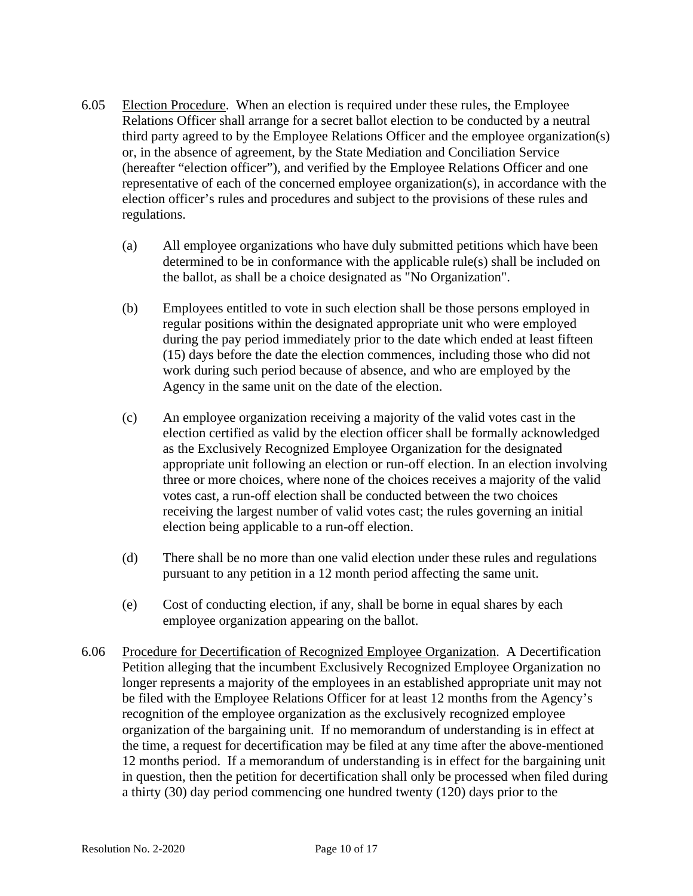- 6.05 Election Procedure. When an election is required under these rules, the Employee Relations Officer shall arrange for a secret ballot election to be conducted by a neutral third party agreed to by the Employee Relations Officer and the employee organization(s) or, in the absence of agreement, by the State Mediation and Conciliation Service (hereafter "election officer"), and verified by the Employee Relations Officer and one representative of each of the concerned employee organization(s), in accordance with the election officer's rules and procedures and subject to the provisions of these rules and regulations.
	- (a) All employee organizations who have duly submitted petitions which have been determined to be in conformance with the applicable rule(s) shall be included on the ballot, as shall be a choice designated as "No Organization".
	- (b) Employees entitled to vote in such election shall be those persons employed in regular positions within the designated appropriate unit who were employed during the pay period immediately prior to the date which ended at least fifteen (15) days before the date the election commences, including those who did not work during such period because of absence, and who are employed by the Agency in the same unit on the date of the election.
	- (c) An employee organization receiving a majority of the valid votes cast in the election certified as valid by the election officer shall be formally acknowledged as the Exclusively Recognized Employee Organization for the designated appropriate unit following an election or run-off election. In an election involving three or more choices, where none of the choices receives a majority of the valid votes cast, a run-off election shall be conducted between the two choices receiving the largest number of valid votes cast; the rules governing an initial election being applicable to a run-off election.
	- (d) There shall be no more than one valid election under these rules and regulations pursuant to any petition in a 12 month period affecting the same unit.
	- (e) Cost of conducting election, if any, shall be borne in equal shares by each employee organization appearing on the ballot.
- 6.06 Procedure for Decertification of Recognized Employee Organization. A Decertification Petition alleging that the incumbent Exclusively Recognized Employee Organization no longer represents a majority of the employees in an established appropriate unit may not be filed with the Employee Relations Officer for at least 12 months from the Agency's recognition of the employee organization as the exclusively recognized employee organization of the bargaining unit. If no memorandum of understanding is in effect at the time, a request for decertification may be filed at any time after the above-mentioned 12 months period. If a memorandum of understanding is in effect for the bargaining unit in question, then the petition for decertification shall only be processed when filed during a thirty (30) day period commencing one hundred twenty (120) days prior to the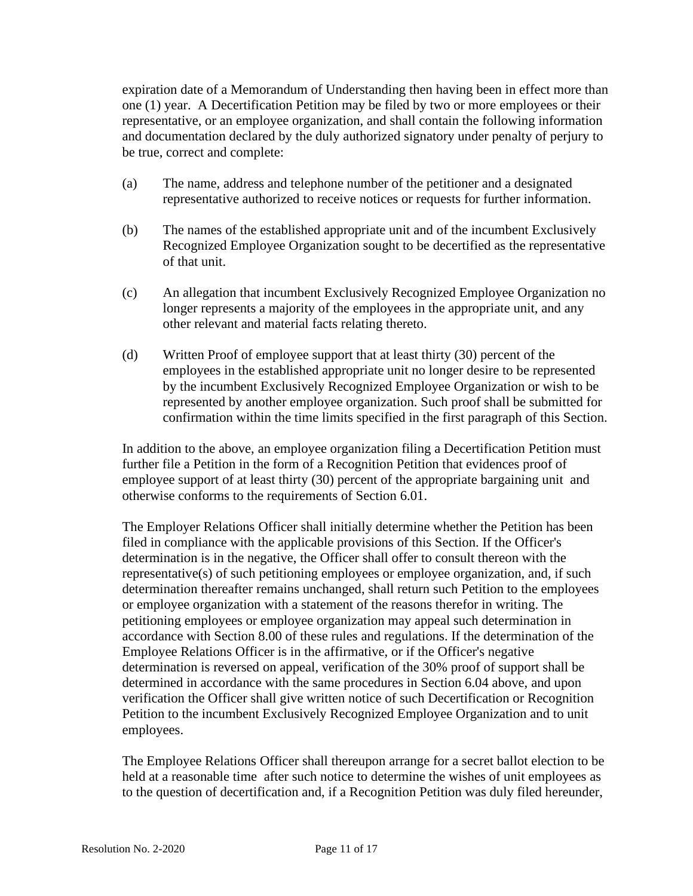expiration date of a Memorandum of Understanding then having been in effect more than one (1) year. A Decertification Petition may be filed by two or more employees or their representative, or an employee organization, and shall contain the following information and documentation declared by the duly authorized signatory under penalty of perjury to be true, correct and complete:

- (a) The name, address and telephone number of the petitioner and a designated representative authorized to receive notices or requests for further information.
- (b) The names of the established appropriate unit and of the incumbent Exclusively Recognized Employee Organization sought to be decertified as the representative of that unit.
- (c) An allegation that incumbent Exclusively Recognized Employee Organization no longer represents a majority of the employees in the appropriate unit, and any other relevant and material facts relating thereto.
- (d) Written Proof of employee support that at least thirty (30) percent of the employees in the established appropriate unit no longer desire to be represented by the incumbent Exclusively Recognized Employee Organization or wish to be represented by another employee organization. Such proof shall be submitted for confirmation within the time limits specified in the first paragraph of this Section.

In addition to the above, an employee organization filing a Decertification Petition must further file a Petition in the form of a Recognition Petition that evidences proof of employee support of at least thirty (30) percent of the appropriate bargaining unit and otherwise conforms to the requirements of Section 6.01.

The Employer Relations Officer shall initially determine whether the Petition has been filed in compliance with the applicable provisions of this Section. If the Officer's determination is in the negative, the Officer shall offer to consult thereon with the representative(s) of such petitioning employees or employee organization, and, if such determination thereafter remains unchanged, shall return such Petition to the employees or employee organization with a statement of the reasons therefor in writing. The petitioning employees or employee organization may appeal such determination in accordance with Section 8.00 of these rules and regulations. If the determination of the Employee Relations Officer is in the affirmative, or if the Officer's negative determination is reversed on appeal, verification of the 30% proof of support shall be determined in accordance with the same procedures in Section 6.04 above, and upon verification the Officer shall give written notice of such Decertification or Recognition Petition to the incumbent Exclusively Recognized Employee Organization and to unit employees.

The Employee Relations Officer shall thereupon arrange for a secret ballot election to be held at a reasonable time after such notice to determine the wishes of unit employees as to the question of decertification and, if a Recognition Petition was duly filed hereunder,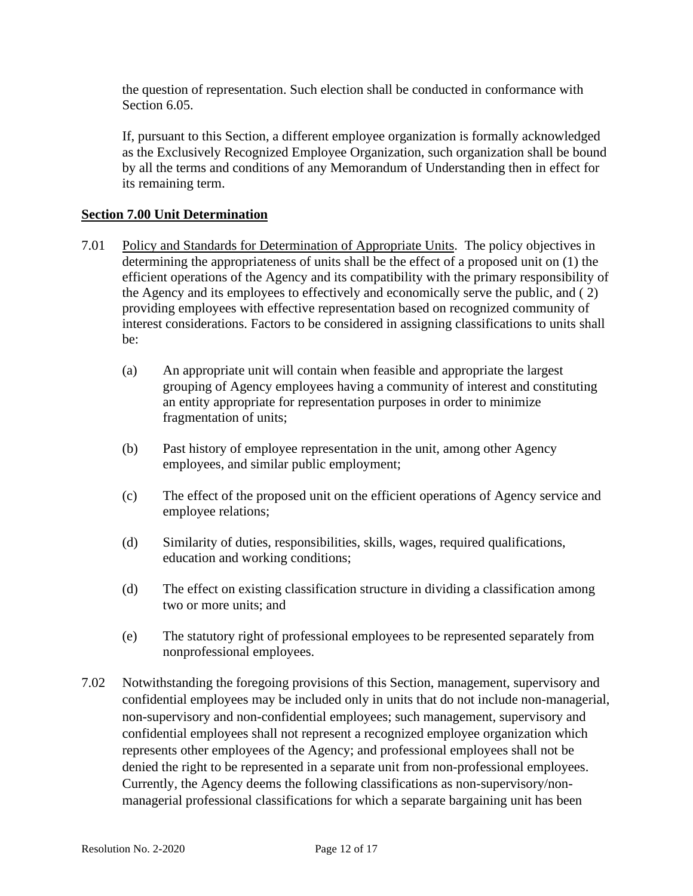the question of representation. Such election shall be conducted in conformance with Section 6.05.

If, pursuant to this Section, a different employee organization is formally acknowledged as the Exclusively Recognized Employee Organization, such organization shall be bound by all the terms and conditions of any Memorandum of Understanding then in effect for its remaining term.

### **Section 7.00 Unit Determination**

- 7.01 Policy and Standards for Determination of Appropriate Units. The policy objectives in determining the appropriateness of units shall be the effect of a proposed unit on (1) the efficient operations of the Agency and its compatibility with the primary responsibility of the Agency and its employees to effectively and economically serve the public, and ( 2) providing employees with effective representation based on recognized community of interest considerations. Factors to be considered in assigning classifications to units shall be:
	- (a) An appropriate unit will contain when feasible and appropriate the largest grouping of Agency employees having a community of interest and constituting an entity appropriate for representation purposes in order to minimize fragmentation of units;
	- (b) Past history of employee representation in the unit, among other Agency employees, and similar public employment;
	- (c) The effect of the proposed unit on the efficient operations of Agency service and employee relations;
	- (d) Similarity of duties, responsibilities, skills, wages, required qualifications, education and working conditions;
	- (d) The effect on existing classification structure in dividing a classification among two or more units; and
	- (e) The statutory right of professional employees to be represented separately from nonprofessional employees.
- 7.02 Notwithstanding the foregoing provisions of this Section, management, supervisory and confidential employees may be included only in units that do not include non-managerial, non-supervisory and non-confidential employees; such management, supervisory and confidential employees shall not represent a recognized employee organization which represents other employees of the Agency; and professional employees shall not be denied the right to be represented in a separate unit from non-professional employees. Currently, the Agency deems the following classifications as non-supervisory/nonmanagerial professional classifications for which a separate bargaining unit has been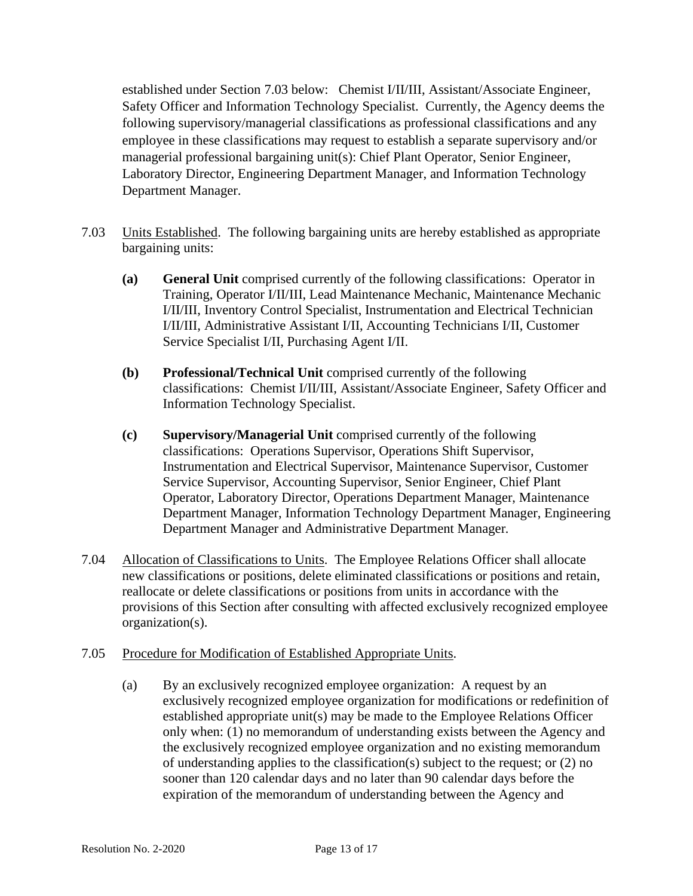established under Section 7.03 below: Chemist I/II/III, Assistant/Associate Engineer, Safety Officer and Information Technology Specialist. Currently, the Agency deems the following supervisory/managerial classifications as professional classifications and any employee in these classifications may request to establish a separate supervisory and/or managerial professional bargaining unit(s): Chief Plant Operator, Senior Engineer, Laboratory Director, Engineering Department Manager, and Information Technology Department Manager.

- 7.03 Units Established. The following bargaining units are hereby established as appropriate bargaining units:
	- **(a) General Unit** comprised currently of the following classifications: Operator in Training, Operator I/II/III, Lead Maintenance Mechanic, Maintenance Mechanic I/II/III, Inventory Control Specialist, Instrumentation and Electrical Technician I/II/III, Administrative Assistant I/II, Accounting Technicians I/II, Customer Service Specialist I/II, Purchasing Agent I/II.
	- **(b) Professional/Technical Unit** comprised currently of the following classifications: Chemist I/II/III, Assistant/Associate Engineer, Safety Officer and Information Technology Specialist.
	- **(c) Supervisory/Managerial Unit** comprised currently of the following classifications: Operations Supervisor, Operations Shift Supervisor, Instrumentation and Electrical Supervisor, Maintenance Supervisor, Customer Service Supervisor, Accounting Supervisor, Senior Engineer, Chief Plant Operator, Laboratory Director, Operations Department Manager, Maintenance Department Manager, Information Technology Department Manager, Engineering Department Manager and Administrative Department Manager*.*
- 7.04 Allocation of Classifications to Units. The Employee Relations Officer shall allocate new classifications or positions, delete eliminated classifications or positions and retain, reallocate or delete classifications or positions from units in accordance with the provisions of this Section after consulting with affected exclusively recognized employee organization(s).

#### 7.05 Procedure for Modification of Established Appropriate Units.

(a) By an exclusively recognized employee organization: A request by an exclusively recognized employee organization for modifications or redefinition of established appropriate unit(s) may be made to the Employee Relations Officer only when: (1) no memorandum of understanding exists between the Agency and the exclusively recognized employee organization and no existing memorandum of understanding applies to the classification(s) subject to the request; or (2) no sooner than 120 calendar days and no later than 90 calendar days before the expiration of the memorandum of understanding between the Agency and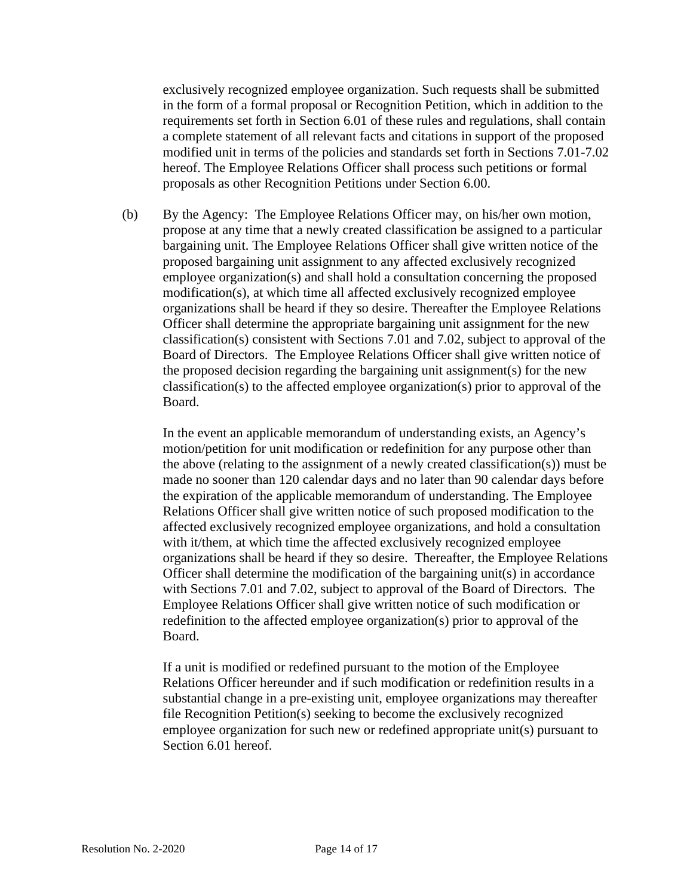exclusively recognized employee organization. Such requests shall be submitted in the form of a formal proposal or Recognition Petition, which in addition to the requirements set forth in Section 6.01 of these rules and regulations, shall contain a complete statement of all relevant facts and citations in support of the proposed modified unit in terms of the policies and standards set forth in Sections 7.01-7.02 hereof. The Employee Relations Officer shall process such petitions or formal proposals as other Recognition Petitions under Section 6.00.

(b) By the Agency: The Employee Relations Officer may, on his/her own motion, propose at any time that a newly created classification be assigned to a particular bargaining unit. The Employee Relations Officer shall give written notice of the proposed bargaining unit assignment to any affected exclusively recognized employee organization(s) and shall hold a consultation concerning the proposed modification(s), at which time all affected exclusively recognized employee organizations shall be heard if they so desire. Thereafter the Employee Relations Officer shall determine the appropriate bargaining unit assignment for the new classification(s) consistent with Sections 7.01 and 7.02, subject to approval of the Board of Directors. The Employee Relations Officer shall give written notice of the proposed decision regarding the bargaining unit assignment(s) for the new classification(s) to the affected employee organization(s) prior to approval of the Board.

In the event an applicable memorandum of understanding exists, an Agency's motion/petition for unit modification or redefinition for any purpose other than the above (relating to the assignment of a newly created classification(s)) must be made no sooner than 120 calendar days and no later than 90 calendar days before the expiration of the applicable memorandum of understanding. The Employee Relations Officer shall give written notice of such proposed modification to the affected exclusively recognized employee organizations, and hold a consultation with it/them, at which time the affected exclusively recognized employee organizations shall be heard if they so desire. Thereafter, the Employee Relations Officer shall determine the modification of the bargaining unit(s) in accordance with Sections 7.01 and 7.02, subject to approval of the Board of Directors. The Employee Relations Officer shall give written notice of such modification or redefinition to the affected employee organization(s) prior to approval of the Board.

If a unit is modified or redefined pursuant to the motion of the Employee Relations Officer hereunder and if such modification or redefinition results in a substantial change in a pre-existing unit, employee organizations may thereafter file Recognition Petition(s) seeking to become the exclusively recognized employee organization for such new or redefined appropriate unit(s) pursuant to Section 6.01 hereof.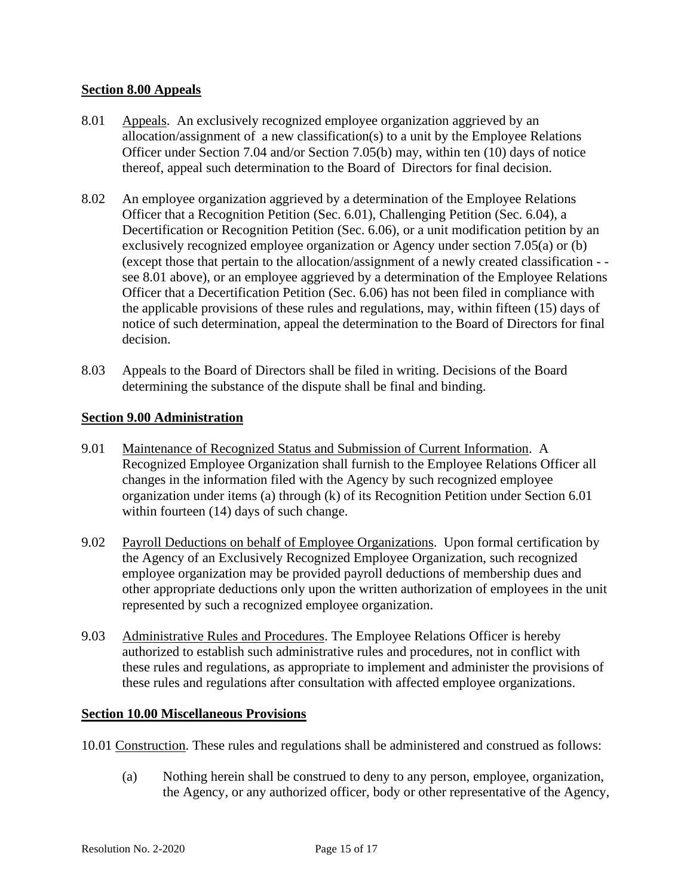## **Section 8.00 Appeals**

- 8.01 Appeals. An exclusively recognized employee organization aggrieved by an allocation/assignment of a new classification(s) to a unit by the Employee Relations Officer under Section 7.04 and/or Section 7.05(b) may, within ten (10) days of notice thereof, appeal such determination to the Board of Directors for final decision.
- 8.02 An employee organization aggrieved by a determination of the Employee Relations Officer that a Recognition Petition (Sec. 6.01), Challenging Petition (Sec. 6.04), a Decertification or Recognition Petition (Sec. 6.06), or a unit modification petition by an exclusively recognized employee organization or Agency under section 7.05(a) or (b) (except those that pertain to the allocation/assignment of a newly created classification - see 8.01 above), or an employee aggrieved by a determination of the Employee Relations Officer that a Decertification Petition (Sec. 6.06) has not been filed in compliance with the applicable provisions of these rules and regulations, may, within fifteen (15) days of notice of such determination, appeal the determination to the Board of Directors for final decision.
- 8.03 Appeals to the Board of Directors shall be filed in writing. Decisions of the Board determining the substance of the dispute shall be final and binding.

#### **Section 9.00 Administration**

- 9.01 Maintenance of Recognized Status and Submission of Current Information. A Recognized Employee Organization shall furnish to the Employee Relations Officer all changes in the information filed with the Agency by such recognized employee organization under items (a) through (k) of its Recognition Petition under Section 6.01 within fourteen (14) days of such change.
- 9.02 Payroll Deductions on behalf of Employee Organizations. Upon formal certification by the Agency of an Exclusively Recognized Employee Organization, such recognized employee organization may be provided payroll deductions of membership dues and other appropriate deductions only upon the written authorization of employees in the unit represented by such a recognized employee organization.
- 9.03 Administrative Rules and Procedures. The Employee Relations Officer is hereby authorized to establish such administrative rules and procedures, not in conflict with these rules and regulations, as appropriate to implement and administer the provisions of these rules and regulations after consultation with affected employee organizations.

#### **Section 10.00 Miscellaneous Provisions**

- 10.01 Construction. These rules and regulations shall be administered and construed as follows:
	- (a) Nothing herein shall be construed to deny to any person, employee, organization, the Agency, or any authorized officer, body or other representative of the Agency,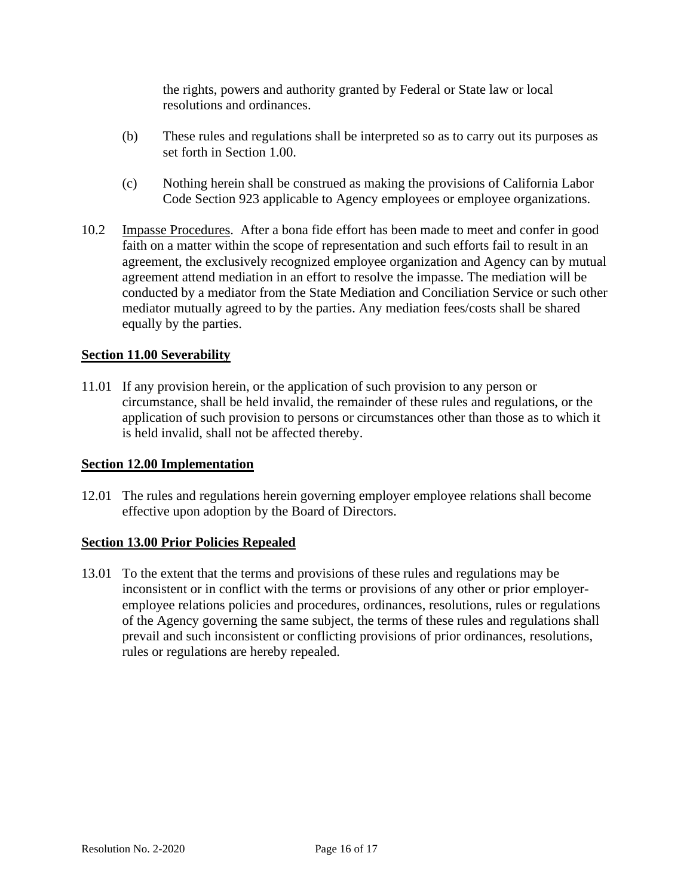the rights, powers and authority granted by Federal or State law or local resolutions and ordinances.

- (b) These rules and regulations shall be interpreted so as to carry out its purposes as set forth in Section 1.00.
- (c) Nothing herein shall be construed as making the provisions of California Labor Code Section 923 applicable to Agency employees or employee organizations.
- 10.2 Impasse Procedures. After a bona fide effort has been made to meet and confer in good faith on a matter within the scope of representation and such efforts fail to result in an agreement, the exclusively recognized employee organization and Agency can by mutual agreement attend mediation in an effort to resolve the impasse. The mediation will be conducted by a mediator from the State Mediation and Conciliation Service or such other mediator mutually agreed to by the parties. Any mediation fees/costs shall be shared equally by the parties.

## **Section 11.00 Severability**

11.01 If any provision herein, or the application of such provision to any person or circumstance, shall be held invalid, the remainder of these rules and regulations, or the application of such provision to persons or circumstances other than those as to which it is held invalid, shall not be affected thereby.

#### **Section 12.00 Implementation**

12.01 The rules and regulations herein governing employer employee relations shall become effective upon adoption by the Board of Directors.

#### **Section 13.00 Prior Policies Repealed**

13.01 To the extent that the terms and provisions of these rules and regulations may be inconsistent or in conflict with the terms or provisions of any other or prior employeremployee relations policies and procedures, ordinances, resolutions, rules or regulations of the Agency governing the same subject, the terms of these rules and regulations shall prevail and such inconsistent or conflicting provisions of prior ordinances, resolutions, rules or regulations are hereby repealed.